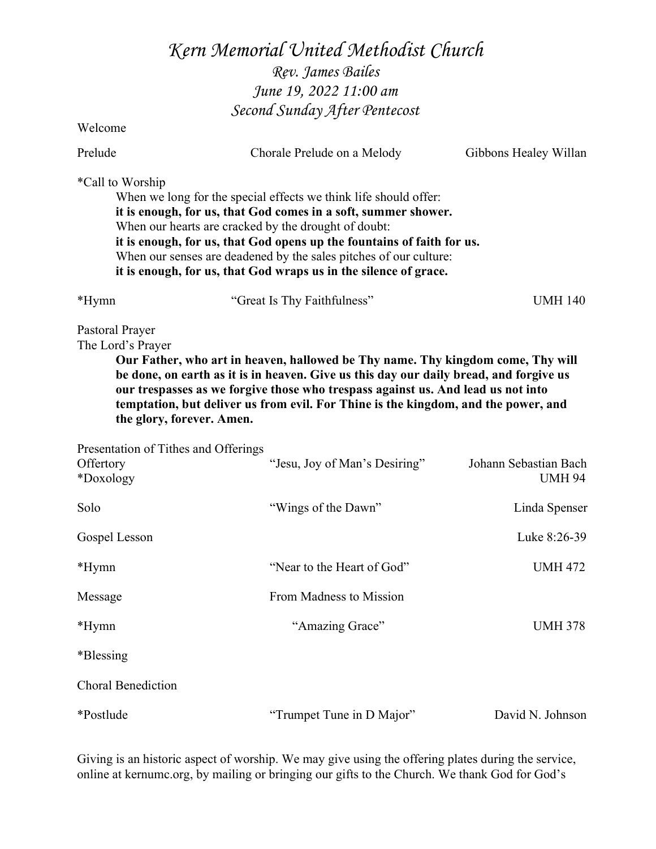# Kern Memorial United Methodist Church

Rev. James Bailes June 19, 2022 11:00 am Second Sunday After Pentecost

Welcome

| Prelude                                                                                                                                                                                                                                                                                                                                                                                                                  | Chorale Prelude on a Melody                                                                                                                                                                                                                                                                                                                                                                                   | Gibbons Healey Willan                  |  |  |
|--------------------------------------------------------------------------------------------------------------------------------------------------------------------------------------------------------------------------------------------------------------------------------------------------------------------------------------------------------------------------------------------------------------------------|---------------------------------------------------------------------------------------------------------------------------------------------------------------------------------------------------------------------------------------------------------------------------------------------------------------------------------------------------------------------------------------------------------------|----------------------------------------|--|--|
| *Call to Worship                                                                                                                                                                                                                                                                                                                                                                                                         | When we long for the special effects we think life should offer:<br>it is enough, for us, that God comes in a soft, summer shower.<br>When our hearts are cracked by the drought of doubt:<br>it is enough, for us, that God opens up the fountains of faith for us.<br>When our senses are deadened by the sales pitches of our culture:<br>it is enough, for us, that God wraps us in the silence of grace. |                                        |  |  |
| *Hymn                                                                                                                                                                                                                                                                                                                                                                                                                    | "Great Is Thy Faithfulness"<br><b>UMH 140</b>                                                                                                                                                                                                                                                                                                                                                                 |                                        |  |  |
| Pastoral Prayer<br>The Lord's Prayer<br>Our Father, who art in heaven, hallowed be Thy name. Thy kingdom come, Thy will<br>be done, on earth as it is in heaven. Give us this day our daily bread, and forgive us<br>our trespasses as we forgive those who trespass against us. And lead us not into<br>temptation, but deliver us from evil. For Thine is the kingdom, and the power, and<br>the glory, forever. Amen. |                                                                                                                                                                                                                                                                                                                                                                                                               |                                        |  |  |
| Presentation of Tithes and Offerings<br>Offertory<br>*Doxology                                                                                                                                                                                                                                                                                                                                                           | "Jesu, Joy of Man's Desiring"                                                                                                                                                                                                                                                                                                                                                                                 | Johann Sebastian Bach<br><b>UMH 94</b> |  |  |
| Solo                                                                                                                                                                                                                                                                                                                                                                                                                     | "Wings of the Dawn"                                                                                                                                                                                                                                                                                                                                                                                           | Linda Spenser                          |  |  |
| Gospel Lesson                                                                                                                                                                                                                                                                                                                                                                                                            |                                                                                                                                                                                                                                                                                                                                                                                                               | Luke 8:26-39                           |  |  |
| *Hymn                                                                                                                                                                                                                                                                                                                                                                                                                    | "Near to the Heart of God"                                                                                                                                                                                                                                                                                                                                                                                    | <b>UMH 472</b>                         |  |  |
| Message                                                                                                                                                                                                                                                                                                                                                                                                                  | From Madness to Mission                                                                                                                                                                                                                                                                                                                                                                                       |                                        |  |  |
| *Hymn                                                                                                                                                                                                                                                                                                                                                                                                                    | "Amazing Grace"                                                                                                                                                                                                                                                                                                                                                                                               | <b>UMH 378</b>                         |  |  |
| *Blessing                                                                                                                                                                                                                                                                                                                                                                                                                |                                                                                                                                                                                                                                                                                                                                                                                                               |                                        |  |  |
| <b>Choral Benediction</b>                                                                                                                                                                                                                                                                                                                                                                                                |                                                                                                                                                                                                                                                                                                                                                                                                               |                                        |  |  |
| *Postlude                                                                                                                                                                                                                                                                                                                                                                                                                | "Trumpet Tune in D Major"                                                                                                                                                                                                                                                                                                                                                                                     | David N. Johnson                       |  |  |

Giving is an historic aspect of worship. We may give using the offering plates during the service, online at kernumc.org, by mailing or bringing our gifts to the Church. We thank God for God's